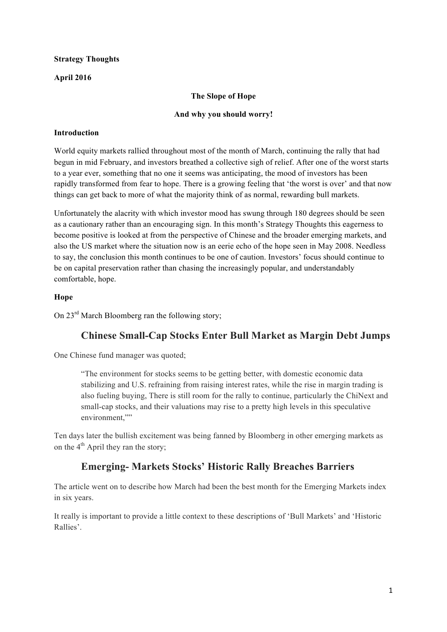## **Strategy Thoughts**

## **April 2016**

### **The Slope of Hope**

#### **And why you should worry!**

### **Introduction**

World equity markets rallied throughout most of the month of March, continuing the rally that had begun in mid February, and investors breathed a collective sigh of relief. After one of the worst starts to a year ever, something that no one it seems was anticipating, the mood of investors has been rapidly transformed from fear to hope. There is a growing feeling that 'the worst is over' and that now things can get back to more of what the majority think of as normal, rewarding bull markets.

Unfortunately the alacrity with which investor mood has swung through 180 degrees should be seen as a cautionary rather than an encouraging sign. In this month's Strategy Thoughts this eagerness to become positive is looked at from the perspective of Chinese and the broader emerging markets, and also the US market where the situation now is an eerie echo of the hope seen in May 2008. Needless to say, the conclusion this month continues to be one of caution. Investors' focus should continue to be on capital preservation rather than chasing the increasingly popular, and understandably comfortable, hope.

### **Hope**

On 23<sup>rd</sup> March Bloomberg ran the following story;

## **Chinese Small-Cap Stocks Enter Bull Market as Margin Debt Jumps**

One Chinese fund manager was quoted;

"The environment for stocks seems to be getting better, with domestic economic data stabilizing and U.S. refraining from raising interest rates, while the rise in margin trading is also fueling buying, There is still room for the rally to continue, particularly the ChiNext and small-cap stocks, and their valuations may rise to a pretty high levels in this speculative environment,""

Ten days later the bullish excitement was being fanned by Bloomberg in other emerging markets as on the  $4<sup>th</sup>$  April they ran the story;

## **Emerging- Markets Stocks' Historic Rally Breaches Barriers**

The article went on to describe how March had been the best month for the Emerging Markets index in six years.

It really is important to provide a little context to these descriptions of 'Bull Markets' and 'Historic Rallies'.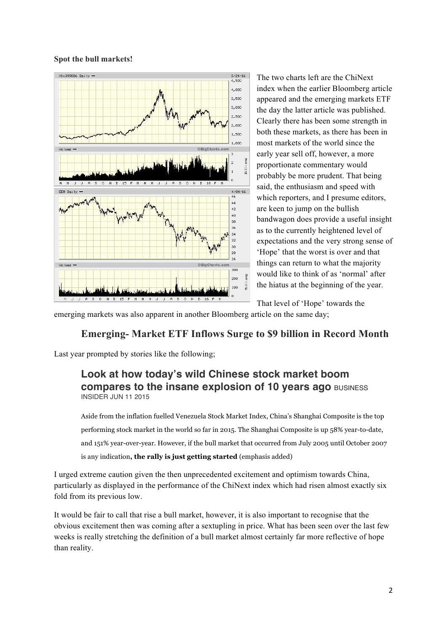#### **Spot the bull markets!**



The two charts left are the ChiNext index when the earlier Bloomberg article appeared and the emerging markets ETF the day the latter article was published. Clearly there has been some strength in both these markets, as there has been in most markets of the world since the early year sell off, however, a more proportionate commentary would probably be more prudent. That being said, the enthusiasm and speed with which reporters, and I presume editors, are keen to jump on the bullish bandwagon does provide a useful insight as to the currently heightened level of expectations and the very strong sense of 'Hope' that the worst is over and that things can return to what the majority would like to think of as 'normal' after the hiatus at the beginning of the year.

That level of 'Hope' towards the

emerging markets was also apparent in another Bloomberg article on the same day;

## **Emerging- Market ETF Inflows Surge to \$9 billion in Record Month**

Last year prompted by stories like the following;

## **Look at how today's wild Chinese stock market boom compares to the insane explosion of 10 years ago BUSINESS** INSIDER JUN 11 2015

Aside from the inflation fuelled Venezuela Stock Market Index, China's Shanghai Composite is the top performing stock market in the world so far in 2015. The Shanghai Composite is up 58% year-to-date, and 151% year-over-year. However, if the bull market that occurred from July 2005 until October 2007 is any indication**, the rally is just getting started** (emphasis added)

I urged extreme caution given the then unprecedented excitement and optimism towards China, particularly as displayed in the performance of the ChiNext index which had risen almost exactly six fold from its previous low.

It would be fair to call that rise a bull market, however, it is also important to recognise that the obvious excitement then was coming after a sextupling in price. What has been seen over the last few weeks is really stretching the definition of a bull market almost certainly far more reflective of hope than reality.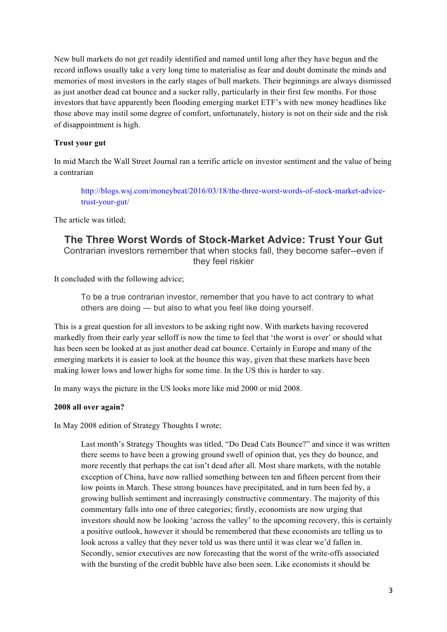New bull markets do not get readily identified and named until long after they have begun and the record inflows usually take a very long time to materialise as fear and doubt dominate the minds and memories of most investors in the early stages of bull markets. Their beginnings are always dismissed as just another dead cat bounce and a sucker rally, particularly in their first few months. For those investors that have apparently been flooding emerging market ETF's with new money headlines like those above may instil some degree of comfort, unfortunately, history is not on their side and the risk of disappointment is high.

#### **Trust your gut**

In mid March the Wall Street Journal ran a terrific article on investor sentiment and the value of being a contrarian

http://blogs.wsj.com/moneybeat/2016/03/18/the-three-worst-words-of-stock-market-advicetrust-your-gut/

The article was titled;

## **The Three Worst Words of Stock-Market Advice: Trust Your Gut** Contrarian investors remember that when stocks fall, they become safer--even if they feel riskier

It concluded with the following advice;

To be a true contrarian investor, remember that you have to act contrary to what others are doing — but also to what you feel like doing yourself.

This is a great question for all investors to be asking right now. With markets having recovered markedly from their early year selloff is now the time to feel that 'the worst is over' or should what has been seen be looked at as just another dead cat bounce. Certainly in Europe and many of the emerging markets it is easier to look at the bounce this way, given that these markets have been making lower lows and lower highs for some time. In the US this is harder to say.

In many ways the picture in the US looks more like mid 2000 or mid 2008.

#### **2008 all over again?**

In May 2008 edition of Strategy Thoughts I wrote;

Last month's Strategy Thoughts was titled, "Do Dead Cats Bounce?" and since it was written there seems to have been a growing ground swell of opinion that, yes they do bounce, and more recently that perhaps the cat isn't dead after all. Most share markets, with the notable exception of China, have now rallied something between ten and fifteen percent from their low points in March. These strong bounces have precipitated, and in turn been fed by, a growing bullish sentiment and increasingly constructive commentary. The majority of this commentary falls into one of three categories; firstly, economists are now urging that investors should now be looking 'across the valley' to the upcoming recovery, this is certainly a positive outlook, however it should be remembered that these economists are telling us to look across a valley that they never told us was there until it was clear we'd fallen in. Secondly, senior executives are now forecasting that the worst of the write-offs associated with the bursting of the credit bubble have also been seen. Like economists it should be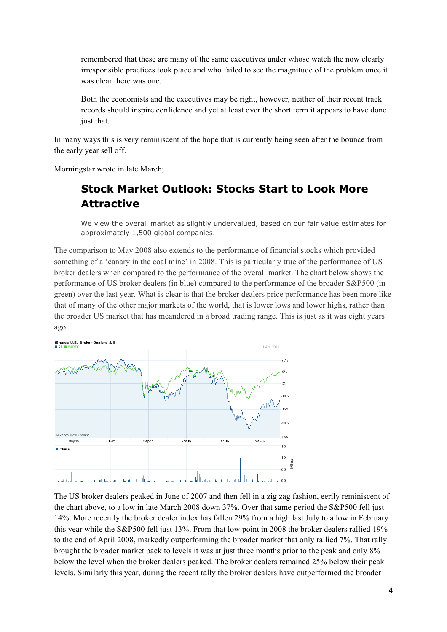remembered that these are many of the same executives under whose watch the now clearly irresponsible practices took place and who failed to see the magnitude of the problem once it was clear there was one.

Both the economists and the executives may be right, however, neither of their recent track records should inspire confidence and yet at least over the short term it appears to have done just that.

In many ways this is very reminiscent of the hope that is currently being seen after the bounce from the early year sell off.

Morningstar wrote in late March;

# **Stock Market Outlook: Stocks Start to Look More Attractive**

We view the overall market as slightly undervalued, based on our fair value estimates for approximately 1,500 global companies.

The comparison to May 2008 also extends to the performance of financial stocks which provided something of a 'canary in the coal mine' in 2008. This is particularly true of the performance of US broker dealers when compared to the performance of the overall market. The chart below shows the performance of US broker dealers (in blue) compared to the performance of the broader S&P500 (in green) over the last year. What is clear is that the broker dealers price performance has been more like that of many of the other major markets of the world, that is lower lows and lower highs, rather than the broader US market that has meandered in a broad trading range. This is just as it was eight years ago.



The US broker dealers peaked in June of 2007 and then fell in a zig zag fashion, eerily reminiscent of the chart above, to a low in late March 2008 down 37%. Over that same period the S&P500 fell just 14%. More recently the broker dealer index has fallen 29% from a high last July to a low in February this year while the S&P500 fell just 13%. From that low point in 2008 the broker dealers rallied 19% to the end of April 2008, markedly outperforming the broader market that only rallied 7%. That rally brought the broader market back to levels it was at just three months prior to the peak and only 8% below the level when the broker dealers peaked. The broker dealers remained 25% below their peak levels. Similarly this year, during the recent rally the broker dealers have outperformed the broader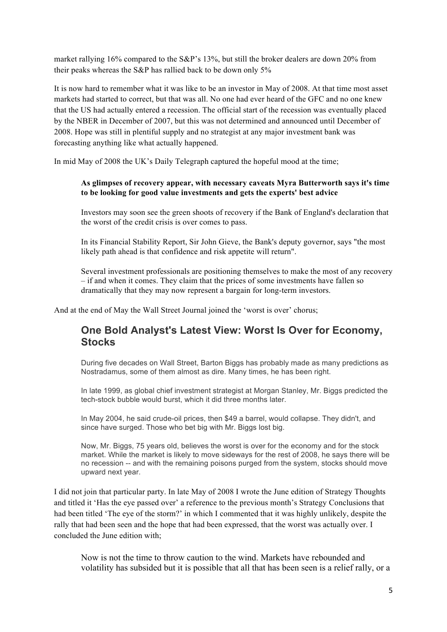market rallying 16% compared to the S&P's 13%, but still the broker dealers are down 20% from their peaks whereas the S&P has rallied back to be down only 5%

It is now hard to remember what it was like to be an investor in May of 2008. At that time most asset markets had started to correct, but that was all. No one had ever heard of the GFC and no one knew that the US had actually entered a recession. The official start of the recession was eventually placed by the NBER in December of 2007, but this was not determined and announced until December of 2008. Hope was still in plentiful supply and no strategist at any major investment bank was forecasting anything like what actually happened.

In mid May of 2008 the UK's Daily Telegraph captured the hopeful mood at the time;

#### **As glimpses of recovery appear, with necessary caveats Myra Butterworth says it's time to be looking for good value investments and gets the experts' best advice**

Investors may soon see the green shoots of recovery if the Bank of England's declaration that the worst of the credit crisis is over comes to pass.

In its Financial Stability Report, Sir John Gieve, the Bank's deputy governor, says "the most likely path ahead is that confidence and risk appetite will return".

Several investment professionals are positioning themselves to make the most of any recovery – if and when it comes. They claim that the prices of some investments have fallen so dramatically that they may now represent a bargain for long-term investors.

And at the end of May the Wall Street Journal joined the 'worst is over' chorus;

## **One Bold Analyst's Latest View: Worst Is Over for Economy, Stocks**

During five decades on Wall Street, Barton Biggs has probably made as many predictions as Nostradamus, some of them almost as dire. Many times, he has been right.

In late 1999, as global chief investment strategist at Morgan Stanley, Mr. Biggs predicted the tech-stock bubble would burst, which it did three months later.

In May 2004, he said crude-oil prices, then \$49 a barrel, would collapse. They didn't, and since have surged. Those who bet big with Mr. Biggs lost big.

Now, Mr. Biggs, 75 years old, believes the worst is over for the economy and for the stock market. While the market is likely to move sideways for the rest of 2008, he says there will be no recession -- and with the remaining poisons purged from the system, stocks should move upward next year.

I did not join that particular party. In late May of 2008 I wrote the June edition of Strategy Thoughts and titled it 'Has the eye passed over' a reference to the previous month's Strategy Conclusions that had been titled 'The eye of the storm?' in which I commented that it was highly unlikely, despite the rally that had been seen and the hope that had been expressed, that the worst was actually over. I concluded the June edition with;

Now is not the time to throw caution to the wind. Markets have rebounded and volatility has subsided but it is possible that all that has been seen is a relief rally, or a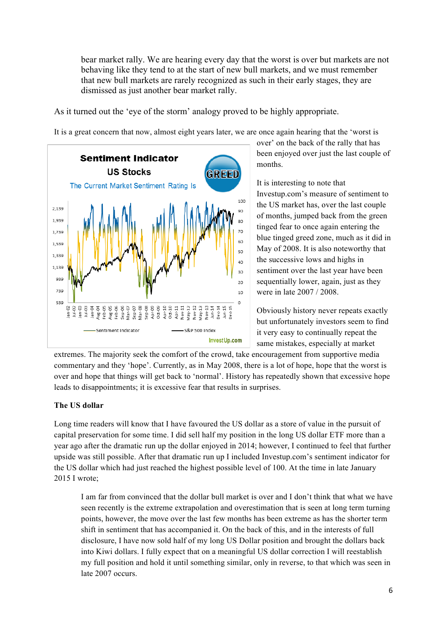bear market rally. We are hearing every day that the worst is over but markets are not behaving like they tend to at the start of new bull markets, and we must remember that new bull markets are rarely recognized as such in their early stages, they are dismissed as just another bear market rally.

As it turned out the 'eye of the storm' analogy proved to be highly appropriate.

It is a great concern that now, almost eight years later, we are once again hearing that the 'worst is



over' on the back of the rally that has been enjoyed over just the last couple of months.

It is interesting to note that Investup.com's measure of sentiment to the US market has, over the last couple of months, jumped back from the green tinged fear to once again entering the blue tinged greed zone, much as it did in May of 2008. It is also noteworthy that the successive lows and highs in sentiment over the last year have been sequentially lower, again, just as they were in late 2007 / 2008.

Obviously history never repeats exactly but unfortunately investors seem to find it very easy to continually repeat the same mistakes, especially at market

extremes. The majority seek the comfort of the crowd, take encouragement from supportive media commentary and they 'hope'. Currently, as in May 2008, there is a lot of hope, hope that the worst is over and hope that things will get back to 'normal'. History has repeatedly shown that excessive hope leads to disappointments; it is excessive fear that results in surprises.

### **The US dollar**

Long time readers will know that I have favoured the US dollar as a store of value in the pursuit of capital preservation for some time. I did sell half my position in the long US dollar ETF more than a year ago after the dramatic run up the dollar enjoyed in 2014; however, I continued to feel that further upside was still possible. After that dramatic run up I included Investup.com's sentiment indicator for the US dollar which had just reached the highest possible level of 100. At the time in late January 2015 I wrote;

I am far from convinced that the dollar bull market is over and I don't think that what we have seen recently is the extreme extrapolation and overestimation that is seen at long term turning points, however, the move over the last few months has been extreme as has the shorter term shift in sentiment that has accompanied it. On the back of this, and in the interests of full disclosure, I have now sold half of my long US Dollar position and brought the dollars back into Kiwi dollars. I fully expect that on a meaningful US dollar correction I will reestablish my full position and hold it until something similar, only in reverse, to that which was seen in late 2007 occurs.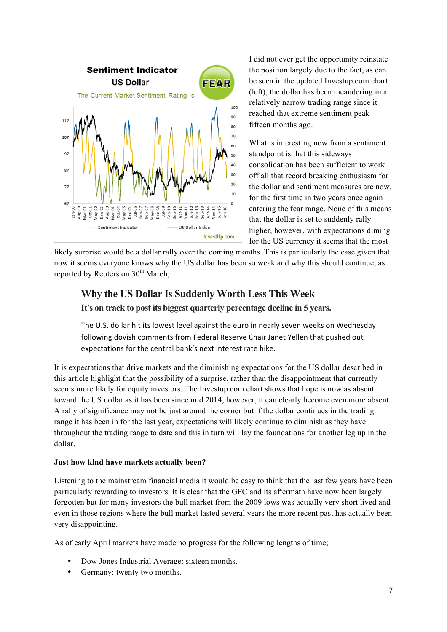

I did not ever get the opportunity reinstate the position largely due to the fact, as can be seen in the updated Investup.com chart (left), the dollar has been meandering in a relatively narrow trading range since it reached that extreme sentiment peak fifteen months ago.

What is interesting now from a sentiment standpoint is that this sideways consolidation has been sufficient to work off all that record breaking enthusiasm for the dollar and sentiment measures are now, for the first time in two years once again entering the fear range. None of this means that the dollar is set to suddenly rally higher, however, with expectations diming for the US currency it seems that the most

likely surprise would be a dollar rally over the coming months. This is particularly the case given that now it seems everyone knows why the US dollar has been so weak and why this should continue, as reported by Reuters on  $30<sup>th</sup>$  March;

## **Why the US Dollar Is Suddenly Worth Less This Week**

**It's on track to post its biggest quarterly percentage decline in 5 years.**

The U.S. dollar hit its lowest level against the euro in nearly seven weeks on Wednesday following dovish comments from Federal Reserve Chair Janet Yellen that pushed out expectations for the central bank's next interest rate hike.

It is expectations that drive markets and the diminishing expectations for the US dollar described in this article highlight that the possibility of a surprise, rather than the disappointment that currently seems more likely for equity investors. The Investup.com chart shows that hope is now as absent toward the US dollar as it has been since mid 2014, however, it can clearly become even more absent. A rally of significance may not be just around the corner but if the dollar continues in the trading range it has been in for the last year, expectations will likely continue to diminish as they have throughout the trading range to date and this in turn will lay the foundations for another leg up in the dollar.

### **Just how kind have markets actually been?**

Listening to the mainstream financial media it would be easy to think that the last few years have been particularly rewarding to investors. It is clear that the GFC and its aftermath have now been largely forgotten but for many investors the bull market from the 2009 lows was actually very short lived and even in those regions where the bull market lasted several years the more recent past has actually been very disappointing.

As of early April markets have made no progress for the following lengths of time;

- Dow Jones Industrial Average: sixteen months.
- Germany: twenty two months.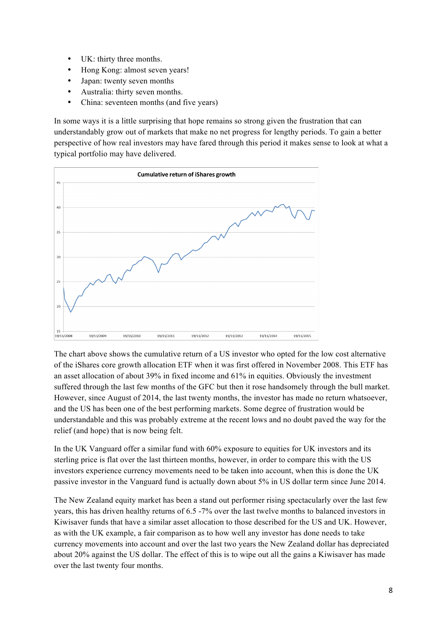- UK: thirty three months.
- Hong Kong: almost seven years!
- Japan: twenty seven months
- Australia: thirty seven months.
- China: seventeen months (and five years)

In some ways it is a little surprising that hope remains so strong given the frustration that can understandably grow out of markets that make no net progress for lengthy periods. To gain a better perspective of how real investors may have fared through this period it makes sense to look at what a typical portfolio may have delivered.



The chart above shows the cumulative return of a US investor who opted for the low cost alternative of the iShares core growth allocation ETF when it was first offered in November 2008. This ETF has an asset allocation of about 39% in fixed income and 61% in equities. Obviously the investment suffered through the last few months of the GFC but then it rose handsomely through the bull market. However, since August of 2014, the last twenty months, the investor has made no return whatsoever, and the US has been one of the best performing markets. Some degree of frustration would be understandable and this was probably extreme at the recent lows and no doubt paved the way for the relief (and hope) that is now being felt.

In the UK Vanguard offer a similar fund with 60% exposure to equities for UK investors and its sterling price is flat over the last thirteen months, however, in order to compare this with the US investors experience currency movements need to be taken into account, when this is done the UK passive investor in the Vanguard fund is actually down about 5% in US dollar term since June 2014.

The New Zealand equity market has been a stand out performer rising spectacularly over the last few years, this has driven healthy returns of 6.5 -7% over the last twelve months to balanced investors in Kiwisaver funds that have a similar asset allocation to those described for the US and UK. However, as with the UK example, a fair comparison as to how well any investor has done needs to take currency movements into account and over the last two years the New Zealand dollar has depreciated about 20% against the US dollar. The effect of this is to wipe out all the gains a Kiwisaver has made over the last twenty four months.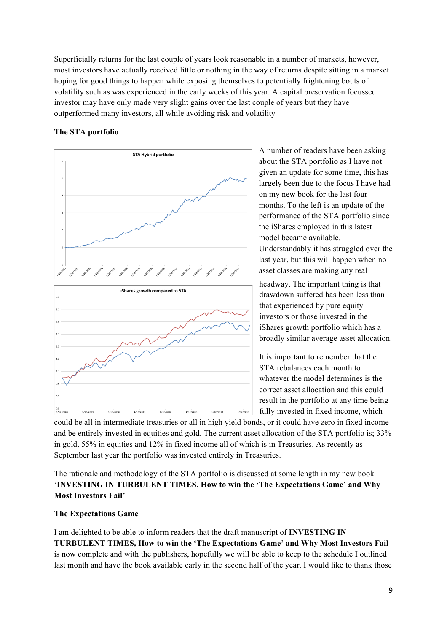Superficially returns for the last couple of years look reasonable in a number of markets, however, most investors have actually received little or nothing in the way of returns despite sitting in a market hoping for good things to happen while exposing themselves to potentially frightening bouts of volatility such as was experienced in the early weeks of this year. A capital preservation focussed investor may have only made very slight gains over the last couple of years but they have outperformed many investors, all while avoiding risk and volatility

#### **The STA portfolio**



A number of readers have been asking about the STA portfolio as I have not given an update for some time, this has largely been due to the focus I have had on my new book for the last four months. To the left is an update of the performance of the STA portfolio since the iShares employed in this latest model became available. Understandably it has struggled over the

last year, but this will happen when no asset classes are making any real

headway. The important thing is that drawdown suffered has been less than that experienced by pure equity investors or those invested in the iShares growth portfolio which has a broadly similar average asset allocation.

It is important to remember that the STA rebalances each month to whatever the model determines is the correct asset allocation and this could result in the portfolio at any time being fully invested in fixed income, which

could be all in intermediate treasuries or all in high yield bonds, or it could have zero in fixed income and be entirely invested in equities and gold. The current asset allocation of the STA portfolio is; 33% in gold, 55% in equities and 12% in fixed income all of which is in Treasuries. As recently as September last year the portfolio was invested entirely in Treasuries.

The rationale and methodology of the STA portfolio is discussed at some length in my new book '**INVESTING IN TURBULENT TIMES, How to win the 'The Expectations Game' and Why Most Investors Fail'**

#### **The Expectations Game**

I am delighted to be able to inform readers that the draft manuscript of **INVESTING IN TURBULENT TIMES, How to win the 'The Expectations Game' and Why Most Investors Fail** is now complete and with the publishers, hopefully we will be able to keep to the schedule I outlined last month and have the book available early in the second half of the year. I would like to thank those